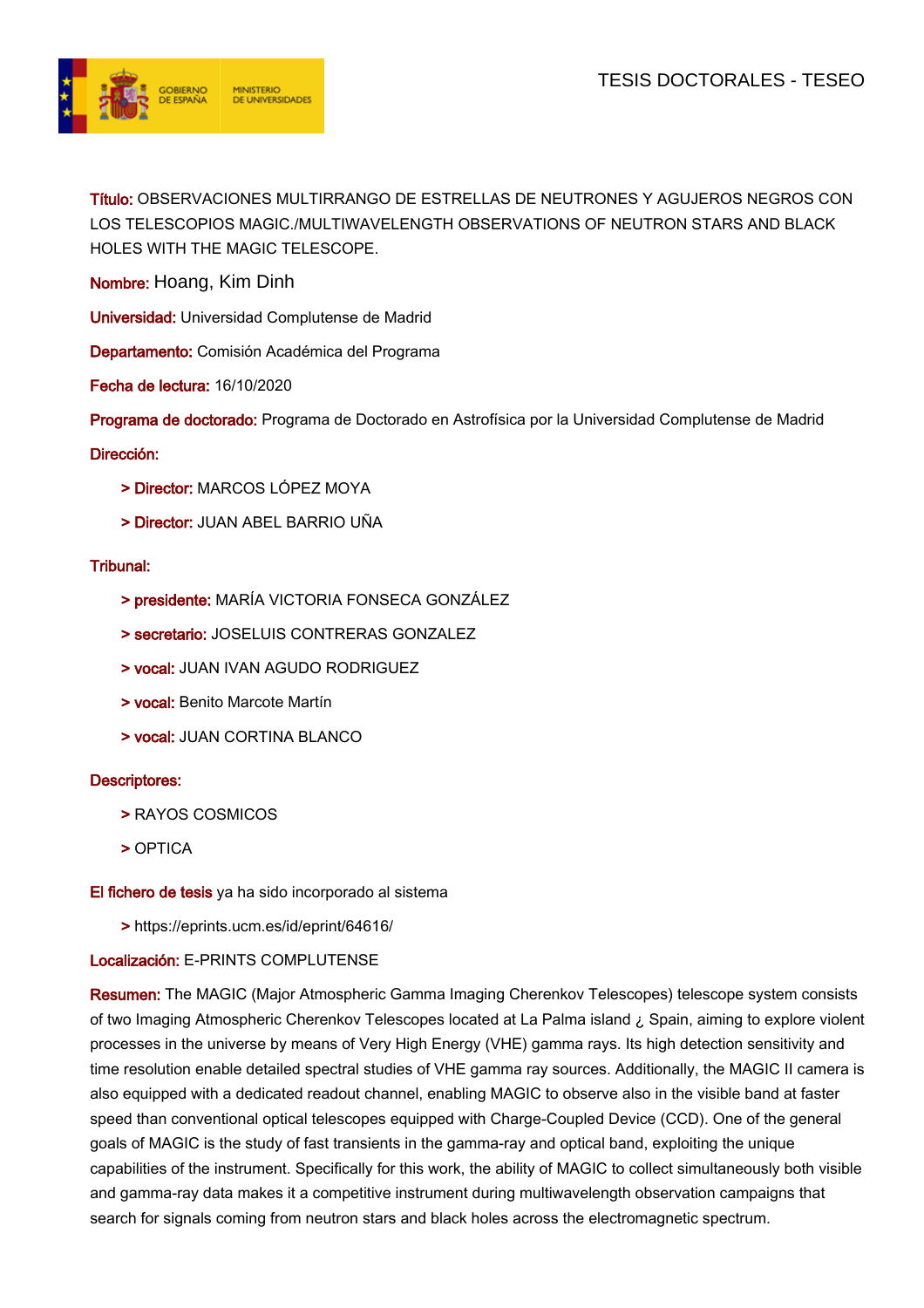

Título: OBSERVACIONES MULTIRRANGO DE ESTRELLAS DE NEUTRONES Y AGUJEROS NEGROS CON LOS TELESCOPIOS MAGIC./MULTIWAVELENGTH OBSERVATIONS OF NEUTRON STARS AND BLACK HOLES WITH THE MAGIC TELESCOPE.

Nombre: Hoang, Kim Dinh

Universidad: Universidad Complutense de Madrid

Departamento: Comisión Académica del Programa

Fecha de lectura: 16/10/2020

Programa de doctorado: Programa de Doctorado en Astrofísica por la Universidad Complutense de Madrid

## Dirección:

- > Director: MARCOS LÓPEZ MOYA
- > Director: JUAN ABEL BARRIO UÑA

## Tribunal:

- > presidente: MARÍA VICTORIA FONSECA GONZÁLEZ
- > secretario: JOSELUIS CONTRERAS GONZALEZ
- > vocal: JUAN IVAN AGUDO RODRIGUEZ
- > vocal: Benito Marcote Martín
- > vocal: JUAN CORTINA BLANCO

## Descriptores:

- > RAYOS COSMICOS
- > OPTICA

El fichero de tesis ya ha sido incorporado al sistema

> https://eprints.ucm.es/id/eprint/64616/

## Localización: E-PRINTS COMPLUTENSE

Resumen: The MAGIC (Major Atmospheric Gamma Imaging Cherenkov Telescopes) telescope system consists of two Imaging Atmospheric Cherenkov Telescopes located at La Palma island ¿ Spain, aiming to explore violent processes in the universe by means of Very High Energy (VHE) gamma rays. Its high detection sensitivity and time resolution enable detailed spectral studies of VHE gamma ray sources. Additionally, the MAGIC II camera is also equipped with a dedicated readout channel, enabling MAGIC to observe also in the visible band at faster speed than conventional optical telescopes equipped with Charge-Coupled Device (CCD). One of the general goals of MAGIC is the study of fast transients in the gamma-ray and optical band, exploiting the unique capabilities of the instrument. Specifically for this work, the ability of MAGIC to collect simultaneously both visible and gamma-ray data makes it a competitive instrument during multiwavelength observation campaigns that search for signals coming from neutron stars and black holes across the electromagnetic spectrum.